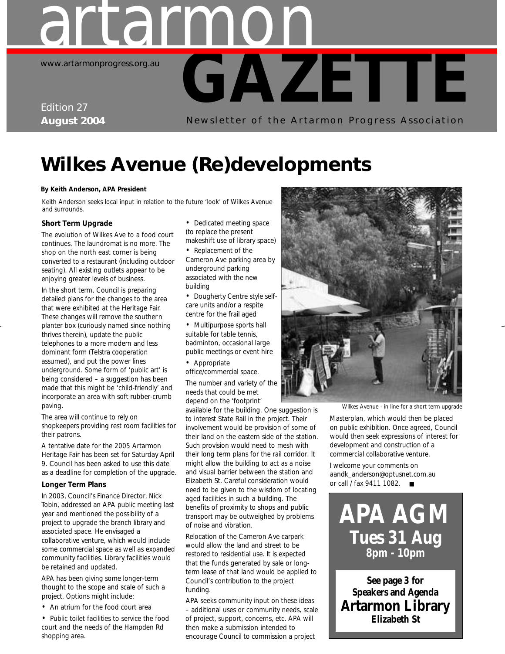# artarmon www.artarmonprogress.org.au

### Edition 27 **August 2004**

Newsletter of the Artarmon Progress Association

**GAZETTE**

### **Wilkes Avenue (Re)developments**

#### **By Keith Anderson, APA President**

*Keith Anderson seeks local input in relation to the future 'look' of Wilkes Avenue and surrounds.*

#### **Short Term Upgrade**

The evolution of Wilkes Ave to a food court continues. The laundromat is no more. The shop on the north east corner is being converted to a restaurant (including outdoor seating). All existing outlets appear to be enjoying greater levels of business.

In the short term, Council is preparing detailed plans for the changes to the area that were exhibited at the Heritage Fair. These changes will remove the southern planter box (curiously named since nothing thrives therein), update the public telephones to a more modern and less dominant form (Telstra cooperation assumed), and put the power lines underground. Some form of 'public art' is being considered – a suggestion has been made that this might be 'child-friendly' and incorporate an area with soft rubber-crumb paving.

The area will continue to rely on shopkeepers providing rest room facilities for their patrons.

A tentative date for the 2005 Artarmon Heritage Fair has been set for Saturday April 9. Council has been asked to use this date as a deadline for completion of the upgrade.

#### **Longer Term Plans**

In 2003, Council's Finance Director, Nick Tobin, addressed an APA public meeting last year and mentioned the possibility of a project to upgrade the branch library and associated space. He envisaged a collaborative venture, which would include some commercial space as well as expanded community facilities. Library facilities would be retained and updated.

APA has been giving some longer-term thought to the scope and scale of such a project. Options might include:

• An atrium for the food court area

• Public toilet facilities to service the food court and the needs of the Hampden Rd shopping area.

• Dedicated meeting space (to replace the present makeshift use of library space)

- Replacement of the Cameron Ave parking area by underground parking associated with the new building
- Dougherty Centre style selfcare units and/or a respite centre for the frail aged
- Multipurpose sports hall suitable for table tennis, badminton, occasional large public meetings or event hire
- Appropriate

office/commercial space.

The number and variety of the needs that could be met depend on the 'footprint'

available for the building. One suggestion is to interest State Rail in the project. Their involvement would be provision of some of their land on the eastern side of the station. Such provision would need to mesh with their long term plans for the rail corridor. It might allow the building to act as a noise and visual barrier between the station and Elizabeth St. Careful consideration would need to be given to the wisdom of locating aged facilities in such a building. The benefits of proximity to shops and public transport may be outweighed by problems of noise and vibration.

Relocation of the Cameron Ave carpark would allow the land and street to be restored to residential use. It is expected that the funds generated by sale or longterm lease of that land would be applied to Council's contribution to the project funding.

APA seeks community input on these ideas – additional uses or community needs, scale of project, support, concerns, etc. APA will then make a submission intended to encourage Council to commission a project



*Wilkes Avenue - in line for a short term upgrade*

Masterplan, which would then be placed on public exhibition. Once agreed, Council would then seek expressions of interest for development and construction of a commercial collaborative venture.

I welcome your comments on aandk\_anderson@optusnet.com.au or call / fax 9411 1082. ■

**APA AGM Tues 31 Aug 8pm - 10pm**

**See page 3 for Speakers and Agenda Artarmon Library Elizabeth St**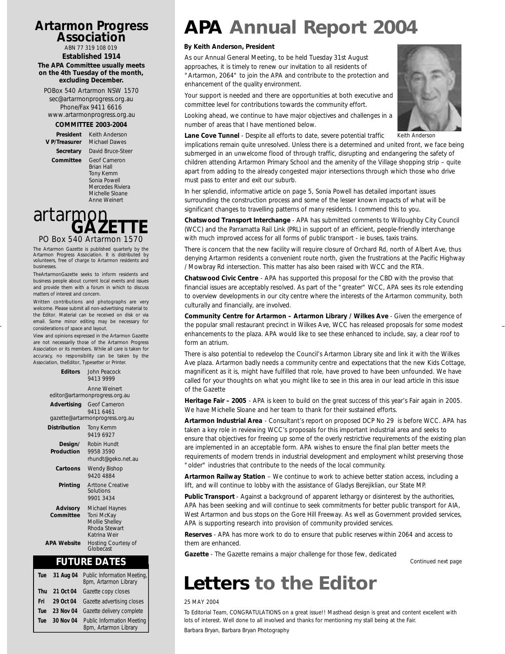#### **Artarmon Progress Association**

ABN 77 319 108 019 **Established 1914 The APA Committee usually meets on the 4th Tuesday of the month, excluding December.**

POBox 540 Artarmon NSW 1570 sec@artarmonprogress.org.au Phone/Fax 9411 6616 www.artarmonprogress.org.au

#### **COMMITTEE 2003-2004**

**President** Keith Anderson

**V P/Treasurer** Michael Dawes **Secretary** David Bruce-Steer **Committee** Geof Cameron Brian Hall Tony Kemm Sonia Powell Mercedes Riviera

> Michelle Sloane Anne Weinert

# artarmon

PO Box 540 Artarmon 1570

The Artarmon Gazette is published quarterly by the Artarmon Progress Association. It is distributed by volunteers, free of charge to Artarmon residents and businesses.

TheArtarmonGazette seeks to inform residents and business people about current local events and issues and provide them with a forum in which to discuss matters of interest and concern.

Written contributions and photographs are very welcome. Please submit all non-advertising material to the Editor. Material can be received on disk or via email. Some minor editing may be necessary for considerations of space and layout.

View and opinions expressed in the Artarmon Gazette are not necessarily those of the Artarmon Progress Association or its members. While all care is taken for accuracy, no responsibility can be taken by the Association, theEditor, Typesetter or Printer.

| <b>Editors</b>                  | John Peacock<br>94139999                                                        |  |  |  |
|---------------------------------|---------------------------------------------------------------------------------|--|--|--|
|                                 | Anne Weinert<br>editor@artarmonprogress.org.au                                  |  |  |  |
| Advertising                     | Geof Cameron<br>9411 6461                                                       |  |  |  |
| gazette@artarmonprogress.org.au |                                                                                 |  |  |  |
| <b>Distribution</b>             | Tony Kemm<br>9419 6927                                                          |  |  |  |
| Design/<br>Production           | Robin Hundt<br>9958 3590<br>rhundt@geko.net.au                                  |  |  |  |
| Cartoons                        | Wendy Bishop<br>9420 4884                                                       |  |  |  |
| Printing                        | <b>Arttone Creative</b><br>Solutions<br>9901 3434                               |  |  |  |
| <b>Advisory</b><br>Committee    | Michael Haynes<br>Toni McKay<br>Mollie Shelley<br>Rhoda Stewart<br>Katrina Weir |  |  |  |
| <b>APA Website</b>              | Hosting Courtesy of<br>Globecast                                                |  |  |  |

#### **FUTURE DATES**

| Tue        | 31 Aug 04 | Public Information Meeting,<br>8pm, Artarmon Library       |
|------------|-----------|------------------------------------------------------------|
| <b>Thu</b> | 21 Oct 04 | Gazette copy closes                                        |
| Fri        | 29 Oct 04 | Gazette advertising closes                                 |
| Tue        | 23 Nov 04 | Gazette delivery complete                                  |
| Tue        | 30 Nov 04 | <b>Public Information Meeting</b><br>8pm, Artarmon Library |

## **APA Annual Report 2004**

#### **By Keith Anderson, President**

As our Annual General Meeting, to be held Tuesday 31st August approaches, it is timely to renew our invitation to all residents of "Artarmon, 2064" to join the APA and contribute to the protection and enhancement of the quality environment.

Your support is needed and there are opportunities at both executive and committee level for contributions towards the community effort.

Looking ahead, we continue to have major objectives and challenges in a number of areas that I have mentioned below.



*Keith Anderson*

**Lane Cove Tunnel** - Despite all efforts to date, severe potential traffic

implications remain quite unresolved. Unless there is a determined and united front, we face being submerged in an unwelcome flood of through traffic, disrupting and endangering the safety of children attending Artarmon Primary School and the amenity of the Village shopping strip – quite apart from adding to the already congested major intersections through which those who drive must pass to enter and exit our suburb.

In her splendid, informative article on page 5, Sonia Powell has detailed important issues surrounding the construction process and some of the lesser known impacts of what will be significant changes to travelling patterns of many residents. I commend this to you.

**Chatswood Transport Interchange** - APA has submitted comments to Willoughby City Council (WCC) and the Parramatta Rail Link (PRL) in support of an efficient, people-friendly interchange with much improved access for all forms of public transport - ie buses, taxis trains.

There is concern that the new facility will require closure of Orchard Rd, north of Albert Ave, thus denying Artarmon residents a convenient route north, given the frustrations at the Pacific Highway / Mowbray Rd intersection. This matter has also been raised with WCC and the RTA.

**Chatswood Civic Centre** - APA has supported this proposal for the CBD with the proviso that financial issues are acceptably resolved. As part of the "greater" WCC, APA sees its role extending to overview developments in our city centre where the interests of the Artarmon community, both culturally and financially, are involved.

**Community Centre for Artarmon – Artarmon Library / Wilkes Ave** - Given the emergence of the popular small restaurant precinct in Wilkes Ave, WCC has released proposals for some modest enhancements to the plaza. APA would like to see these enhanced to include, say, a clear roof to form an atrium.

There is also potential to redevelop the Council's Artarmon Library site and link it with the Wilkes Ave plaza. Artarmon badly needs a community centre and expectations that the new Kids Cottage, magnificent as it is, might have fulfilled that role, have proved to have been unfounded. We have called for your thoughts on what you might like to see in this area in our lead article in this issue of the Gazette

**Heritage Fair – 2005** - APA is keen to build on the great success of this year's Fair again in 2005. We have Michelle Sloane and her team to thank for their sustained efforts.

**Artarmon Industrial Area** - Consultant's report on proposed DCP No 29 is before WCC. APA has taken a key role in reviewing WCC's proposals for this important industrial area and seeks to ensure that objectives for freeing up some of the overly restrictive requirements of the existing plan are implemented in an acceptable form. APA wishes to ensure the final plan better meets the requirements of modern trends in industrial development and employment whilst preserving those "older" industries that contribute to the needs of the local community.

**Artarmon Railway Station** – We continue to work to achieve better station access, including a lift, and will continue to lobby with the assistance of Gladys Berejiklian, our State MP.

**Public Transport** - Against a background of apparent lethargy or disinterest by the authorities, APA has been seeking and will continue to seek commitments for better public transport for AIA, West Artarmon and bus stops on the Gore Hill Freeway. As well as Government provided services, APA is supporting research into provision of community provided services.

**Reserves** - APA has more work to do to ensure that public reserves within 2064 and access to them are enhanced.

**Gazette** - The Gazette remains a major challenge for those few, dedicated

*Continued next page* 

### **Letters to the Editor**

#### *25 MAY 2004*

*To Editorial Team, CONGRATULATIONS on a great issue!! Masthead design is great and content excellent with lots of interest. Well done to all involved and thanks for mentioning my stall being at the Fair.* Barbara Bryan, Barbara Bryan Photography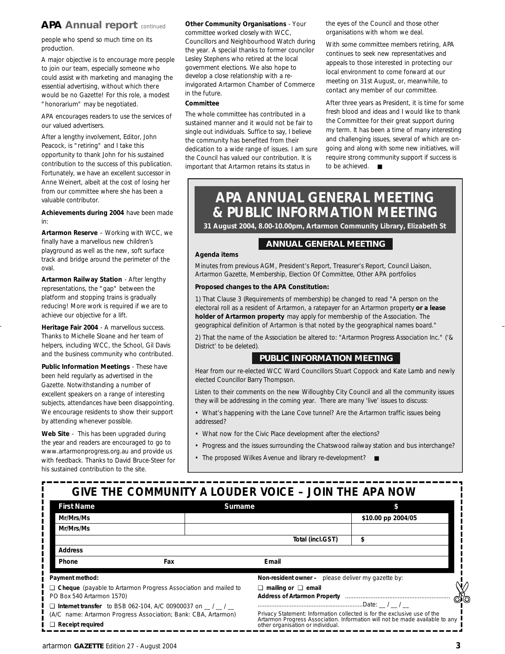#### **APA Annual report** *continued*

people who spend so much time on its production.

A major objective is to encourage more people to join our team, especially someone who could assist with marketing and managing the essential advertising, without which there would be no Gazette! For this role, a modest "honorarium" may be negotiated.

APA encourages readers to use the services of our valued advertisers.

After a lengthy involvement, Editor, John Peacock, is "retiring" and I take this opportunity to thank John for his sustained contribution to the success of this publication. Fortunately, we have an excellent successor in Anne Weinert, albeit at the cost of losing her from our committee where she has been a valuable contributor.

**Achievements during 2004** have been made in:

**Artarmon Reserve** – Working with WCC, we finally have a marvellous new children's playground as well as the new, soft surface track and bridge around the perimeter of the oval.

**Artarmon Railway Station** - After lengthy representations, the "gap" between the platform and stopping trains is gradually reducing! More work is required if we are to achieve our objective for a lift.

**Heritage Fair 2004** - A marvellous success. Thanks to Michelle Sloane and her team of helpers, including WCC, the School, Gil Davis and the business community who contributed.

**Public Information Meetings** - These have been held regularly as advertised in the Gazette. Notwithstanding a number of excellent speakers on a range of interesting subjects, attendances have been disappointing. We encourage residents to show their support by attending whenever possible.

**Web Site** - This has been upgraded during the year and readers are encouraged to go to www.artarmonprogress.org.au and provide us with feedback. Thanks to David Bruce-Steer for his sustained contribution to the site.

#### **Other Community Organisations** - Your

committee worked closely with WCC, Councillors and Neighbourhood Watch during the year. A special thanks to former councilor Lesley Stephens who retired at the local government elections. We also hope to develop a close relationship with a reinvigorated Artarmon Chamber of Commerce in the future.

#### **Committee**

The whole committee has contributed in a sustained manner and it would not be fair to single out individuals. Suffice to say, I believe the community has benefited from their dedication to a wide range of issues. I am sure the Council has valued our contribution. It is important that Artarmon retains its status in

the eyes of the Council and those other organisations with whom we deal.

With some committee members retiring, APA continues to seek new representatives and appeals to those interested in protecting our local environment to come forward at our meeting on 31st August, or, meanwhile, to contact any member of our committee.

After three years as President, it is time for some fresh blood and ideas and I would like to thank the Committee for their great support during my term. It has been a time of many interesting and challenging issues, several of which are ongoing and along with some new initiatives, will require strong community support if success is to be achieved. ■

### **APA ANNUAL GENERAL MEETING & PUBLIC INFORMATION MEETING**

**31 August 2004, 8.00-10.00pm, Artarmon Community Library, Elizabeth St**

#### **ANNUAL GENERAL MEETING**

#### **Agenda items**

*Minutes from previous AGM, President's Report, Treasurer's Report, Council Liaison, Artarmon Gazette, Membership, Election Of Committee, Other APA portfolios* 

#### **Proposed changes to the APA Constitution:**

1) That Clause 3 (Requirements of membership) be changed to read *"A person on the electoral roll as a resident of Artarmon, a ratepayer for an Artarmon property or a lease holder of Artarmon property may apply for membership of the Association. The geographical definition of Artarmon is that noted by the geographical names board."*

2) That the name of the Association be altered to: *"Artarmon Progress Association Inc."* ('& District' to be deleted).

#### **PUBLIC INFORMATION MEETING**

Hear from our re-elected WCC Ward Councillors Stuart Coppock and Kate Lamb and newly elected Councillor Barry Thompson.

Listen to their comments on the new Willoughby City Council and all the community issues they will be addressing in the coming year. There are many 'live' issues to discuss:

- What's happening with the Lane Cove tunnel? Are the Artarmon traffic issues being addressed?
- What now for the Civic Place development after the elections?
- Progress and the issues surrounding the Chatswood railway station and bus interchange?
- The proposed Wilkes Avenue and library re-development? ■

### **GIVE THE COMMUNITY A LOUDER VOICE – JOIN THE APA NOW**

| <b>First Name</b>                                                                             | Surname |                                                                       |                                                                                                                                                          |
|-----------------------------------------------------------------------------------------------|---------|-----------------------------------------------------------------------|----------------------------------------------------------------------------------------------------------------------------------------------------------|
| Mr/Mrs/Ms                                                                                     |         |                                                                       | \$10.00 pp 2004/05                                                                                                                                       |
| Mr/Mrs/Ms                                                                                     |         |                                                                       |                                                                                                                                                          |
|                                                                                               |         | Total (incl.GST)                                                      | \$                                                                                                                                                       |
| <b>Address</b>                                                                                |         |                                                                       |                                                                                                                                                          |
| Phone                                                                                         | Fax     | Email                                                                 |                                                                                                                                                          |
| Payment method:                                                                               |         | Non-resident owner - please deliver my gazette by:                    |                                                                                                                                                          |
| □ Cheque (payable to Artarmon Progress Association and mailed to<br>PO Box 540 Artarmon 1570) |         | $\Box$ mailing or $\Box$ email<br><b>Address of Artarmon Property</b> | Q10                                                                                                                                                      |
| $\Box$ Internet transfer to BSB 062-104, A/C 00900037 on / /                                  |         |                                                                       |                                                                                                                                                          |
| (A/C name: Artarmon Progress Association; Bank: CBA, Artarmon)<br>$\Box$ Receipt required     |         | other organisation or individual.                                     | Privacy Statement: Information collected is for the exclusive use of the<br>Artarmon Progress Association. Information will not be made available to any |

artarmon **GAZETTE** Edition 27 - August 2004 **3**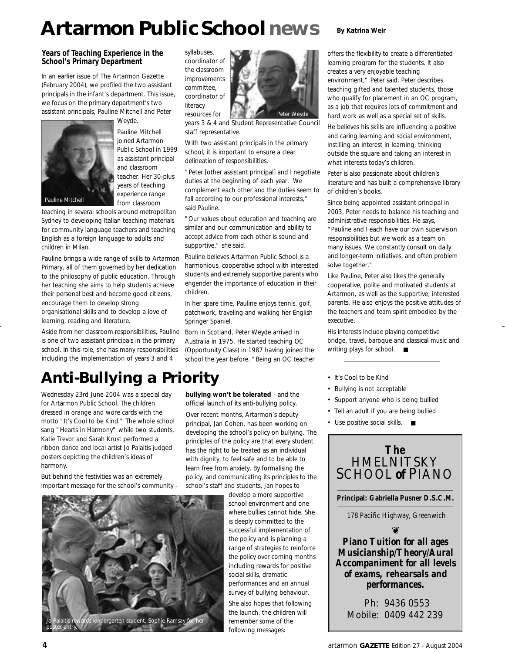## **Artarmon Public Schoolnews** By Katrina Weir

#### **Years of Teaching Experience in the School's Primary Department**

In an earlier issue of The Artarmon Gazette (February 2004), we profiled the two assistant principals in the infant's department. This issue, we focus on the primary department's two assistant principals, Pauline Mitchell and Peter



Weyde. Pauline Mitchell joined Artarmon Public School in 1999 as assistant principal and classroom teacher. Her 30-plus years of teaching experience range from classroom

teaching in several schools around metropolitan Sydney to developing Italian teaching materials for community language teachers and teaching English as a foreign language to adults and children in Milan.

Pauline brings a wide range of skills to Artarmon Primary, all of them governed by her dedication to the philosophy of public education. Through her teaching she aims to help students achieve their personal best and become good citizens, encourage them to develop strong organisational skills and to develop a love of learning, reading and literature.

Aside from her classroom responsibilities, Pauline is one of two assistant principals in the primary school. In this role, she has many responsibilities including the implementation of years 3 and 4

### **Anti-Bullying a Priority**

Wednesday 23rd June 2004 was a special day for Artarmon Public School. The children dressed in orange and wore cards with the motto "It's Cool to be Kind." The whole school sang "Hearts in Harmony" while two students, Katie Trevor and Sarah Krust performed a ribbon dance and local artist Jo Palaitis judged posters depicting the children's ideas of harmony.

But behind the festivities was an extremely important message for the school's community -



syllabuses, coordinator of the classroom improvements committee, coordinator of literacy resources for



years 3 & 4 and Student Representative Council staff representative.

With two assistant principals in the primary school, it is important to ensure a clear delineation of responsibilities.

"Peter [other assistant principal] and I negotiate duties at the beginning of each year. We complement each other and the duties seem to fall according to our professional interests," said Pauline.

"Our values about education and teaching are similar and our communication and ability to accept advice from each other is sound and supportive," she said.

Pauline believes Artarmon Public School is a harmonious, cooperative school with interested students and extremely supportive parents who engender the importance of education in their children.

In her spare time, Pauline enjoys tennis, golf, patchwork, traveling and walking her English Springer Spaniel.

Born in Scotland, Peter Weyde arrived in Australia in 1975. He started teaching OC (Opportunity Class) in 1987 having joined the school the year before. "Being an OC teacher

**bullying won't be tolerated** - and the official launch of its anti-bullying policy. Over recent months, Artarmon's deputy principal, Jan Cohen, has been working on developing the school's policy on bullying. The principles of the policy are that every student has the right to be treated as an individual with dignity, to feel safe and to be able to learn free from anxiety. By formalising the policy, and communicating its principles to the school's staff and students, Jan hopes to

offers the flexibility to create a differentiated learning program for the students. It also creates a very enjoyable teaching environment," Peter said. Peter describes teaching gifted and talented students, those who qualify for placement in an OC program, as a job that requires lots of commitment and hard work as well as a special set of skills.

He believes his skills are influencing a positive and caring learning and social environment, instilling an interest in learning, thinking outside the square and taking an interest in what interests today's children.

Peter is also passionate about children's literature and has built a comprehensive library of children's books.

Since being appointed assistant principal in 2003, Peter needs to balance his teaching and administrative responsibilities. He says, "Pauline and I each have our own supervision responsibilities but we work as a team on many issues. We constantly consult on daily and longer-term initiatives, and often problem solve together."

Like Pauline, Peter also likes the generally cooperative, polite and motivated students at Artarmon, as well as the supportive, interested parents. He also enjoys the positive attitudes of the teachers and team spirit embodied by the executive.

His interests include playing competitive bridge, travel, baroque and classical music and writing plays for school. ■

- It's Cool to be Kind
- Bullying is not acceptable
- Support anyone who is being bullied
- Tell an adult if you are being bullied
- Use positive social skills. ■



**Principal: Gabriella Pusner D.S.C.M.**

178 Pacific Highway, Greenwich

 $\odot$ 

*Piano Tuition for all ages Musicianship/Theory/Aural Accompaniment for all levels of exams, rehearsals and performances.*

Ph: 9436 0553 Mobile: 0409 442 239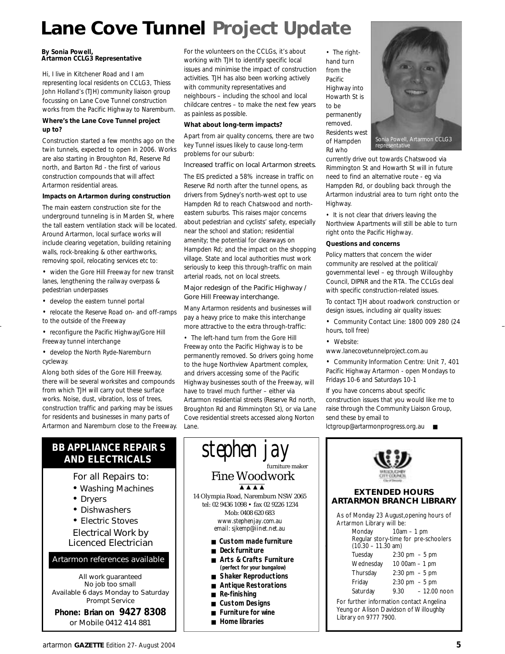## **Lane Cove Tunnel Project Update**

#### **By Sonia Powell, Artarmon CCLG3 Representative**

Hi, I live in Kitchener Road and I am representing local residents on CCLG3, Thiess John Holland's (TJH) community liaison group focussing on Lane Cove Tunnel construction works from the Pacific Highway to Naremburn.

#### **Where's the Lane Cove Tunnel project up to?**

Construction started a few months ago on the twin tunnels, expected to open in 2006. Works are also starting in Broughton Rd, Reserve Rd north, and Barton Rd - the first of various construction compounds that will affect Artarmon residential areas.

#### **Impacts on Artarmon during construction**

The main eastern construction site for the underground tunneling is in Marden St, where the tall eastern ventilation stack will be located. Around Artarmon, local surface works will include clearing vegetation, building retaining walls, rock-breaking & other earthworks, removing spoil, relocating services etc to:

• widen the Gore Hill Freeway for new transit lanes, lengthening the railway overpass & pedestrian underpasses

- develop the eastern tunnel portal
- relocate the Reserve Road on- and off-ramps to the outside of the Freeway
- reconfigure the Pacific Highway/Gore Hill Freeway tunnel interchange
- develop the North Ryde-Naremburn cycleway.

Along both sides of the Gore Hill Freeway, there will be several worksites and compounds from which TJH will carry out these surface works. Noise, dust, vibration, loss of trees, construction traffic and parking may be issues for residents and businesses in many parts of Artarmon and Naremburn close to the Freeway.

#### **BB APPLIANCE REPAIR S AND ELECTRICALS**

- For all Repairs to:
- Washing Machines
- Dryers
- Dishwashers
- Electric Stoves

Electrical Work by Licenced Electrician

#### Artarmon references available

*All work guaranteed No job too small Available 6 days Monday to Saturday Prompt Service*

**Phone: Brian on 9427 8308** or Mobile 0412 414 881

For the volunteers on the CCLGs, it's about working with TJH to identify specific local issues and minimise the impact of construction activities. TJH has also been working actively with community representatives and neighbours – including the school and local childcare centres – to make the next few years as painless as possible.

#### **What about long-term impacts?**

Apart from air quality concerns, there are two key Tunnel issues likely to cause long-term problems for our suburb:

#### Increased traffic on local Artarmon streets.

The EIS predicted a 58% increase in traffic on Reserve Rd north after the tunnel opens, as drivers from Sydney's north-west opt to use Hampden Rd to reach Chatswood and northeastern suburbs. This raises major concerns about pedestrian and cyclists' safety, especially near the school and station; residential amenity; the potential for clearways on Hampden Rd; and the impact on the shopping village. State and local authorities must work seriously to keep this through-traffic on main arterial roads, not on local streets.

#### Major redesign of the Pacific Highway / Gore Hill Freeway interchange.

Many Artarmon residents and businesses will pay a heavy price to make this interchange more attractive to the extra through-traffic:

• The left-hand turn from the Gore Hill Freeway onto the Pacific Highway is to be permanently removed. So drivers going home to the huge Northview Apartment complex, and drivers accessing some of the Pacific Highway businesses south of the Freeway, will have to travel much further – either via Artarmon residential streets (Reserve Rd north, Broughton Rd and Rimmington St), or via Lane Cove residential streets accessed along Norton Lane.

• The righthand turn from the Pacific Highway into Howarth St is to be permanently removed. Residents west of Hampden Rd who



currently drive out towards Chatswood via Rimmington St and Howarth St will in future need to find an alternative route - eg via Hampden Rd, or doubling back through the Artarmon industrial area to turn right onto the Highway.

• It is not clear that drivers leaving the Northview Apartments will still be able to turn right onto the Pacific Highway.

#### **Questions and concerns**

Policy matters that concern the wider community are resolved at the political/ governmental level – eg through Willoughby Council, DIPNR and the RTA. The CCLGs deal with specific construction-related issues.

To contact TJH about roadwork construction or design issues, including air quality issues:

• Community Contact Line: 1800 009 280 (24 hours, toll free)

• Website:

www.lanecovetunnelproject.com.au

• Community Information Centre: Unit 7, 401 Pacific Highway Artarmon - open Mondays to Fridays 10-6 and Saturdays 10-1

If you have concerns about specific construction issues that you would like me to raise through the Community Liaison Group, send these by email to

lctgroup@artarmonprogress.org.au ■

#### stephen jay Fine Woodwork ■ **Custom made furniture** ■ **Deck furniture** ■ **Arts & Crafts Furniture (perfect for your bungalow)** ■ **Shaker Reproductions** ■ **Antique Restorations** ■ **Re-finishing** ■ **Custom Designs** 14 Olympia Road, Naremburn NSW 2065 tel: 02 9436 1098 • fax 02 9226 1234 Mob: 0408 620 683 *www.stephenjay.com.au email: sjkemp@iinet.net.au* furniture maker ▲ ▲ ▲ ▲

- **Furniture for wine**
- 
- **Home libraries**



| Tuesday   | $2:30 \text{ pm } -5 \text{ pm}$ |
|-----------|----------------------------------|
| Wednesday | 10 00am $-$ 1 pm                 |
| Thursday  | $2:30 \text{ pm } -5 \text{ pm}$ |
| Friday    | $2:30 \text{ pm } -5 \text{ pm}$ |
| Saturday  | 9.30<br>$-12.00$ noon            |
|           |                                  |

For further information contact Angelina Yeung or Alison Davidson of Willoughby Library on 9777 7900.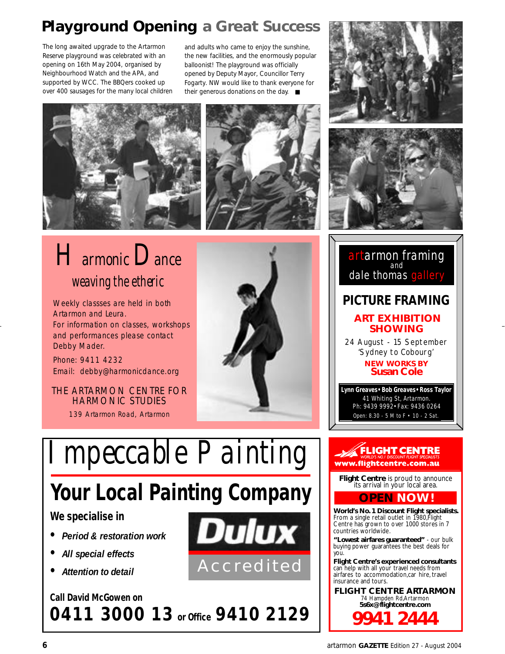### **Playground Opening a Great Success**

The long awaited upgrade to the Artarmon Reserve playground was celebrated with an opening on 16th May 2004, organised by Neighbourhood Watch and the APA, and supported by WCC. The BBQers cooked up over 400 sausages for the many local children and adults who came to enjoy the sunshine, the new facilities, and the enormously popular balloonist! The playground was officially opened by Deputy Mayor, Councillor Terry Fogarty. NW would like to thank everyone for their generous donations on the day. ■





*Harmonic Dance weaving the etheric* 

Weekly classses are held in both Artarmon and Leura. For information on classes, workshops and performances please contact Debby Mader.

Phone: 9411 4232 Email: debby@harmonicdance.org

THE ARTARMON CENTRE FOR HARMONIC STUDIES

139 Artarmon Road, Artarmon



*A c c r e d i t e d*

Dulux









## **Your Local Painting Company**

### **We specialise in**

- *• Period & restoration work*
- *• All special effects*
- *• Attention to detail*





www.flightcentre.com.au

**Flight Centre** is proud to announce its arrival in your local area.

#### **OPEN NOW!**

**World's No. 1 Discount Flight specialists.** From a single retail outlet in 1980,Flight Centre has grown to over 1000 stores in 7 countries worldwide.

**"Lowest airfares guaranteed"** - our bulk buying power guarantees the best deals for you.

**Flight Centre's experienced consultants** can help with all your travel needs from airfares to accommodation,car hire, travel insurance and tours.

**FLIGHT CENTRE ARTARMON** 74 Hampden Rd,Artarmon **5s6x@flightcentre.com**

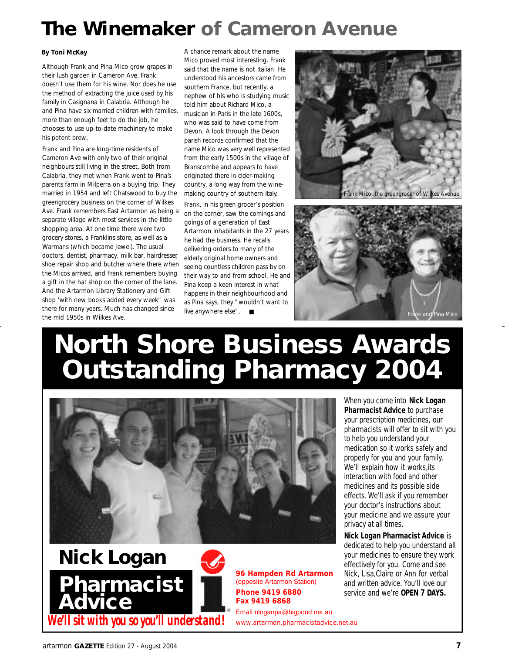## **The Winemaker of Cameron Avenue**

#### **By Toni McKay**

Although Frank and Pina Mico grow grapes in their lush garden in Cameron Ave, Frank doesn't use them for his wine. Nor does he use the method of extracting the juice used by his family in Casignana in Calabria. Although he and Pina have six married children with families, more than enough feet to do the job, he chooses to use up-to-date machinery to make his potent brew.

Frank and Pina are long-time residents of Cameron Ave with only two of their original neighbours still living in the street. Both from Calabria, they met when Frank went to Pina's parents farm in Milperra on a buying trip. They married in 1954 and left Chatswood to buy the greengrocery business on the corner of Wilkes Ave. Frank remembers East Artarmon as being a separate village with most services in the little shopping area. At one time there were two grocery stores, a Franklins store, as well as a Warmans (which became Jewel). The usual doctors, dentist, pharmacy, milk bar, hairdresser, shoe repair shop and butcher where there when the Micos arrived, and Frank remembers buying a gift in the hat shop on the corner of the lane. And the Artarmon Library Stationery and Gift shop 'with new books added every week" was there for many years. Much has changed since the mid 1950s in Wilkes Ave.

A chance remark about the name Mico proved most interesting. Frank said that the name is not Italian. He understood his ancestors came from southern France, but recently, a nephew of his who is studying music told him about Richard Mico, a musician in Paris in the late 1600s, who was said to have come from Devon. A look through the Devon parish records confirmed that the name Mico was very well represented from the early 1500s in the village of Branscombe and appears to have originated there in cider-making country, a long way from the winemaking country of southern Italy.

Frank, in his green grocer's position on the corner, saw the comings and goings of a generation of East Artarmon inhabitants in the 27 years he had the business. He recalls delivering orders to many of the elderly original home owners and seeing countless children pass by on their way to and from school. He and Pina keep a keen interest in what happens in their neighbourhood and as Pina says, they "wouldn't want to live anywhere else". ■





## **North Shore Business Awards Outstanding Pharmacy 2004**



**96 Hampden Rd Artarmon**  (opposite Artarmon Station) **Phone 9419 6880 Fax 9419 6868** Email nloganpa@bigpond.net.au www.artarmon.pharmacistadvice.net.au **Pharmacist Advice** *We'll sit with you so you'll understand!* **Nick Logan**

When you come into **Nick Logan Pharmacist Advice** to purchase your prescription medicines, our pharmacists will offer to sit with you to help you understand your medication so it works safely and properly for you and your family. We'll explain how it works,its interaction with food and other medicines and its possible side effects. We'll ask if you remember your doctor's instructions about your medicine and we assure your privacy at all times.

**Nick Logan Pharmacist Advice** is dedicated to help you understand all your medicines to ensure they work effectively for you. Come and see Nick, Lisa,Claire or Ann for verbal and written advice. You'll love our service and we're **OPEN 7 DAYS.**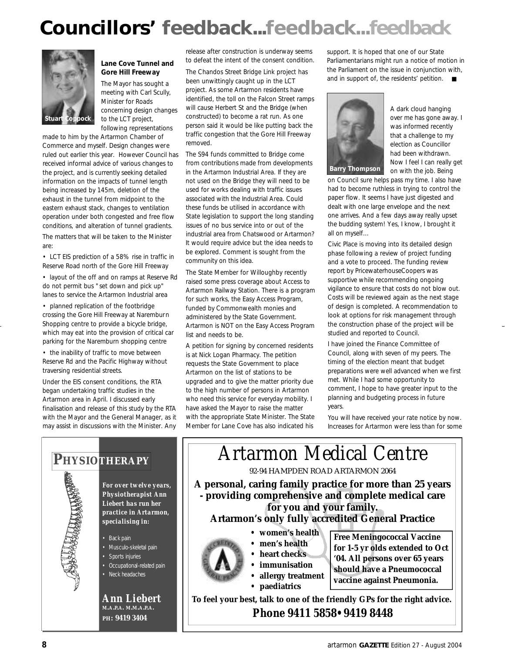## **Councillors' feedback...feedback...feedback**



#### **Lane Cove Tunnel and Gore Hill Freeway**

The Mayor has sought a meeting with Carl Scully, Minister for Roads concerning design changes to the LCT project, following representations

made to him by the Artarmon Chamber of Commerce and myself. Design changes were ruled out earlier this year. However Council has received informal advice of various changes to the project, and is currently seeking detailed information on the impacts of tunnel length being increased by 145m, deletion of the exhaust in the tunnel from midpoint to the eastern exhaust stack, changes to ventilation operation under both congested and free flow conditions, and alteration of tunnel gradients.

The matters that will be taken to the Minister are:

• LCT EIS prediction of a 58% rise in traffic in Reserve Road north of the Gore Hill Freeway

• layout of the off and on ramps at Reserve Rd do not permit bus "set down and pick up" lanes to service the Artarmon Industrial area

• planned replication of the footbridge crossing the Gore Hill Freeway at Naremburn Shopping centre to provide a bicycle bridge, which may eat into the provision of critical car parking for the Naremburn shopping centre

• the inability of traffic to move between Reserve Rd and the Pacific Highway without traversing residential streets.

Under the EIS consent conditions, the RTA began undertaking traffic studies in the Artarmon area in April. I discussed early finalisation and release of this study by the RTA with the Mayor and the General Manager, as it may assist in discussions with the Minister. Any release after construction is underway seems to defeat the intent of the consent condition.

The Chandos Street Bridge Link project has been unwittingly caught up in the LCT project. As some Artarmon residents have identified, the toll on the Falcon Street ramps will cause Herbert St and the Bridge (when constructed) to become a rat run. As one person said it would be like putting back the traffic congestion that the Gore Hill Freeway removed.

The S94 funds committed to Bridge come from contributions made from developments in the Artarmon Industrial Area. If they are not used on the Bridge they will need to be used for works dealing with traffic issues associated with the Industrial Area. Could these funds be utilised in accordance with State legislation to support the long standing issues of no bus service into or out of the industrial area from Chatswood or Artarmon? It would require advice but the idea needs to be explored. Comment is sought from the community on this idea.

The State Member for Willoughby recently raised some press coverage about Access to Artarmon Railway Station. There is a program for such works, the Easy Access Program, funded by Commonwealth monies and administered by the State Government. Artarmon is NOT on the Easy Access Program list and needs to be.

A petition for signing by concerned residents is at Nick Logan Pharmacy. The petition requests the State Government to place Artarmon on the list of stations to be upgraded and to give the matter priority due to the high number of persons in Artarmon who need this service for everyday mobility. I have asked the Mayor to raise the matter with the appropriate State Minister. The State Member for Lane Cove has also indicated his

support. It is hoped that one of our State Parliamentarians might run a notice of motion in the Parliament on the issue in conjunction with, and in support of, the residents' petition. ■



A dark cloud hanging over me has gone away. I was informed recently that a challenge to my election as Councillor had been withdrawn. Now I feel I can really get on with the job. Being

on Council sure helps pass my time. I also have had to become ruthless in trying to control the paper flow. It seems I have just digested and dealt with one large envelope and the next one arrives. And a few days away really upset the budding system! Yes, I know, I brought it all on myself…

Civic Place is moving into its detailed design phase following a review of project funding and a vote to proceed. The funding review report by PricewaterhouseCoopers was supportive while recommending ongoing vigilance to ensure that costs do not blow out. Costs will be reviewed again as the next stage of design is completed. A recommendation to look at options for risk management through the construction phase of the project will be studied and reported to Council.

I have joined the Finance Committee of Council, along with seven of my peers. The timing of the election meant that budget preparations were well advanced when we first met. While I had some opportunity to comment, I hope to have greater input to the planning and budgeting process in future years.

You will have received your rate notice by now. Increases for Artarmon were less than for some



*For over twelve years, Physiotherapist Ann Liebert has run her practice in Artarmon, specialising in:*

• Back pain

• Musculo-skeletal pain

• Sports injuries

• Occupational-related pain • Neck headaches

*Ann Liebert* **M.A.P.A. M.M.A.P.A. P H: 9419 3404**

### **PHYSIOTHERAPY** | Artarmon Medical Centre

92-94 HAMPDEN ROAD ARTARMON 2064

**A personal, caring family practice for more than 25 years - providing comprehensive and complete medical care for you and your family.**

**Artarmon's only fully accredited General Practice** 



- **women's health • men's health**
- **heart checks**
- **immunisation**
- **allergy treatment**
- **paediatrics**

**Free Meningococcal Vaccine for 1-5 yr olds extended to Oct '04. All persons over 65 years should have a Pneumococcal vaccine against Pneumonia.**

**To feel your best, talk to one of the friendly GPs for the right advice.** *Phone 9411 5858•9419 8448*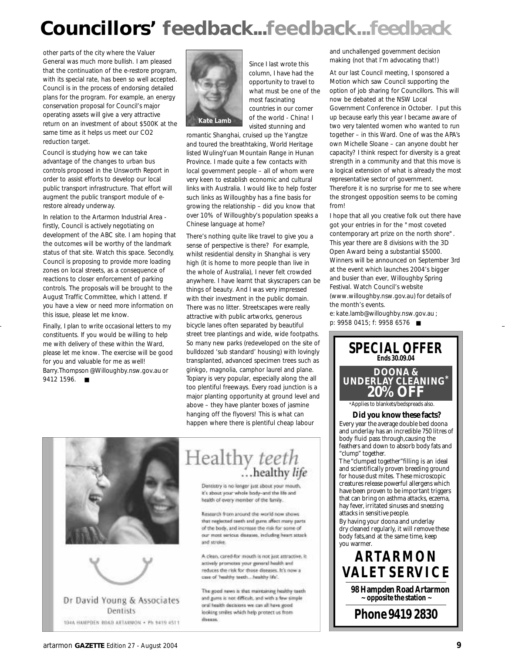## Councillors' feedback...feedback...feedback

other parts of the city where the Valuer General was much more bullish. I am pleased that the continuation of the e-restore program, with its special rate, has been so well accepted. Council is in the process of endorsing detailed plans for the program. For example, an energy conservation proposal for Council's major operating assets will give a very attractive return on an investment of about \$500K at the same time as it helps us meet our CO2 reduction target.

Council is studying how we can take advantage of the changes to urban bus controls proposed in the Unsworth Report in order to assist efforts to develop our local public transport infrastructure. That effort will augment the public transport module of erestore already underway.

In relation to the Artarmon Industrial Area firstly, Council is actively negotiating on development of the ABC site. I am hoping that the outcomes will be worthy of the landmark status of that site. Watch this space. Secondly, Council is proposing to provide more loading zones on local streets, as a consequence of reactions to closer enforcement of parking controls. The proposals will be brought to the August Traffic Committee, which I attend. If you have a view or need more information on this issue, please let me know.

Finally, I plan to write occasional letters to my constituents. If you would be willing to help me with delivery of these within the Ward, please let me know. The exercise will be good for you and valuable for me as well! Barry.Thompson @Willoughby.nsw.gov.au or 9412 1596. ■



Since I last wrote this column, I have had the opportunity to travel to what must be one of the most fascinating countries in our corner of the world - China! I visited stunning and

romantic Shanghai, cruised up the Yangtze and toured the breathtaking, World Heritage listed WulingYuan Mountain Range in Hunan Province. I made quite a few contacts with local government people – all of whom were very keen to establish economic and cultural links with Australia. I would like to help foster such links as Willoughby has a fine basis for growing the relationship – did you know that over 10% of Willoughby's population speaks a Chinese language at home?

There's nothing quite like travel to give you a sense of perspective is there? For example, whilst residential density in Shanghai is very high (it is home to more people than live in the whole of Australia), I never felt crowded anywhere. I have learnt that skyscrapers can be things of beauty. And I was very impressed with their investment in the public domain. There was no litter. Streetscapes were really attractive with public artworks, generous bicycle lanes often separated by beautiful street tree plantings and wide, wide footpaths. So many new parks (redeveloped on the site of bulldozed 'sub standard' housing) with lovingly transplanted, advanced specimen trees such as ginkgo, magnolia, camphor laurel and plane. Topiary is very popular, especially along the all too plentiful freeways. Every road junction is a major planting opportunity at ground level and above – they have planter boxes of jasmine hanging off the flyovers! This is what can happen where there is plentiful cheap labour



Healthy teeth<br>
...healthy life

Dentistry is no longer just about your mouth. it's about your whole body-and the life and health of every member of the family.

Research from around the world now shows that neglected teeth and gurm affect many parts of the body, and increase the risk for some of our most serious deeases, including heart attack and stroke.

A clean, cared-for mouth is not just attractive, it actively promotes your general health and reduces the risk for those direases. It's now a case of 'healthy teeth...healthy life'.

The good news is that maintaining healthy teeth and guns is not difficult, and with a few simple oral health decisions we can all have good looking smiles which help protect us from disease.

and unchallenged government decision making (not that I'm advocating that!)

At our last Council meeting, I sponsored a Motion which saw Council supporting the option of job sharing for Councillors. This will now be debated at the NSW Local Government Conference in October. I put this up because early this year I became aware of two very talented women who wanted to run together – in this Ward. One of was the APA's own Michelle Sloane – can anyone doubt her capacity? I think respect for diversity is a great strength in a community and that this move is a logical extension of what is already the most representative sector of government. Therefore it is no surprise for me to see where the strongest opposition seems to be coming from!

I hope that all you creative folk out there have got your entries in for the "most coveted contemporary art prize on the north shore". This year there are 8 divisions with the 3D Open Award being a substantial \$5000. Winners will be announced on September 3rd at the event which launches 2004's bigger and busier than ever, Willoughby Spring Festival. Watch Council's website (www.willoughby.nsw.gov.au) for details of the month's events.

e: kate.lamb@willoughby.nsw.gov.au ; p: 9958 0415; f: 9958 6576 ■



\*Applies to blankets/bedspreads also.

#### **Did you know these facts?**

Every year the average double bed doona and underlay has an incredible 750 litres of body fluid pass through,causing the feathers and down to absorb body fats and "clump" together.

The "clumped together"filling is an ideal and scientifically proven breeding ground for house dust mites. These microscopic creatures release powerful allergens which have been proven to be important triggers that can bring on asthma attacks, eczema, hay fever, irritated sinuses and sneezing attacks in sensitive people.

By having your doona and underlay dry cleaned regularly, it will remove these body fats,and at the same time, keep you warmer.

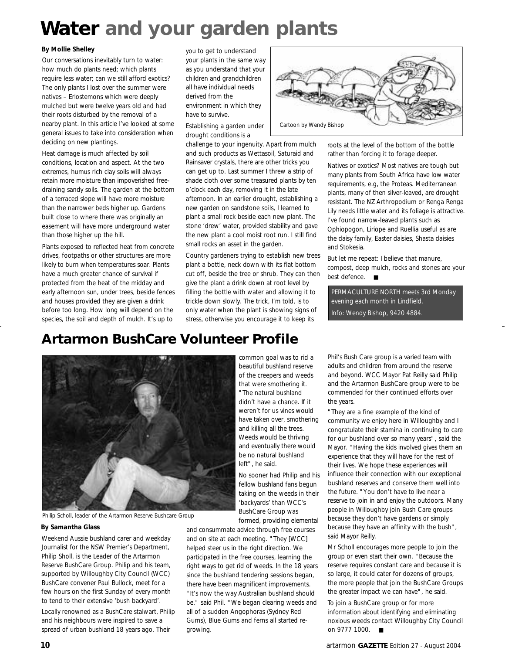## **Water and your garden plants**

#### **By Mollie Shelley**

Our conversations inevitably turn to water: how much do plants need; which plants require less water; can we still afford exotics? The only plants I lost over the summer were natives – Eriostemons which were deeply mulched but were twelve years old and had their roots disturbed by the removal of a nearby plant. In this article I've looked at some general issues to take into consideration when deciding on new plantings.

Heat damage is much affected by soil conditions, location and aspect. At the two extremes, humus rich clay soils will always retain more moisture than impoverished freedraining sandy soils. The garden at the bottom of a terraced slope will have more moisture than the narrower beds higher up. Gardens built close to where there was originally an easement will have more underground water than those higher up the hill.

Plants exposed to reflected heat from concrete drives, footpaths or other structures are more likely to burn when temperatures soar. Plants have a much greater chance of survival if protected from the heat of the midday and early afternoon sun, under trees, beside fences and houses provided they are given a drink before too long. How long will depend on the species, the soil and depth of mulch. It's up to

you to get to understand your plants in the same way as you understand that your children and grandchildren all have individual needs derived from the environment in which they have to survive.

Establishing a garden under drought conditions is a

challenge to your ingenuity. Apart from mulch and such products as Wettasoil, Saturaid and Rainsaver crystals, there are other tricks you can get up to. Last summer I threw a strip of shade cloth over some treasured plants by ten o'clock each day, removing it in the late afternoon. In an earlier drought, establishing a new garden on sandstone soils, I learned to plant a small rock beside each new plant. The stone 'drew' water, provided stability and gave the new plant a cool moist root run. I still find small rocks an asset in the garden.

Country gardeners trying to establish new trees plant a bottle, neck down with its flat bottom cut off, beside the tree or shrub. They can then give the plant a drink down at root level by filling the bottle with water and allowing it to trickle down slowly. The trick, I'm told, is to only water when the plant is showing signs of stress, otherwise you encourage it to keep its



roots at the level of the bottom of the bottle rather than forcing it to forage deeper.

Natives or exotics? Most natives are tough but many plants from South Africa have low water requirements, e.g, the Proteas. Mediterranean plants, many of then silver-leaved, are drought resistant. The NZ Arthropodium or Renga Renga Lily needs little water and its foliage is attractive. I've found narrow-leaved plants such as Ophiopogon, Liriope and Ruellia useful as are the daisy family, Easter daisies, Shasta daisies and Stokesia.

But let me repeat: I believe that manure, compost, deep mulch, rocks and stones are your best defence. ■

PERMACULTURE NORTH meets 3rd Monday evening each month in Lindfield. Info: Wendy Bishop, 9420 4884.

### **Artarmon BushCare Volunteer Profile**



*Philip Scholl, leader of the Artarmon Reserve Bushcare Group*

#### **By Samantha Glass**

Weekend Aussie bushland carer and weekday Journalist for the NSW Premier's Department, Philip Sholl, is the Leader of the Artarmon Reserve BushCare Group. Philip and his team, supported by Willoughby City Council (WCC) BushCare convener Paul Bullock, meet for a few hours on the first Sunday of every month to tend to their extensive 'bush backyard'.

Locally renowned as a BushCare stalwart, Philip and his neighbours were inspired to save a spread of urban bushland 18 years ago. Their

common goal was to rid a beautiful bushland reserve of the creepers and weeds that were smothering it. "The natural bushland didn't have a chance. If it weren't for us vines would have taken over, smothering and killing all the trees. Weeds would be thriving and eventually there would be no natural bushland left", he said.

No sooner had Philip and his fellow bushland fans begun taking on the weeds in their 'backyards' than WCC's BushCare Group was formed, providing elemental

and consummate advice through free courses and on site at each meeting. "They [WCC] helped steer us in the right direction. We participated in the free courses, learning the right ways to get rid of weeds. In the 18 years since the bushland tendering sessions began, there have been magnificent improvements. "It's now the way Australian bushland should be," said Phil. "We began clearing weeds and all of a sudden Angophoras (Sydney Red Gums), Blue Gums and ferns all started regrowing.

Phil's Bush Care group is a varied team with adults and children from around the reserve and beyond. WCC Mayor Pat Reilly said Philip and the Artarmon BushCare group were to be commended for their continued efforts over the years.

"They are a fine example of the kind of community we enjoy here in Willoughby and I congratulate their stamina in continuing to care for our bushland over so many years", said the Mayor. "Having the kids involved gives them an experience that they will have for the rest of their lives. We hope these experiences will influence their connection with our exceptional bushland reserves and conserve them well into the future. "You don't have to live near a reserve to join in and enjoy the outdoors. Many people in Willoughby join Bush Care groups because they don't have gardens or simply because they have an affinity with the bush", said Mayor Reilly.

Mr Scholl encourages more people to join the group or even start their own. "Because the reserve requires constant care and because it is so large, it could cater for dozens of groups, the more people that join the BushCare Groups the greater impact we can have", he said.

To join a BushCare group or for more information about identifying and eliminating noxious weeds contact Willoughby City Council on 9777 1000. ■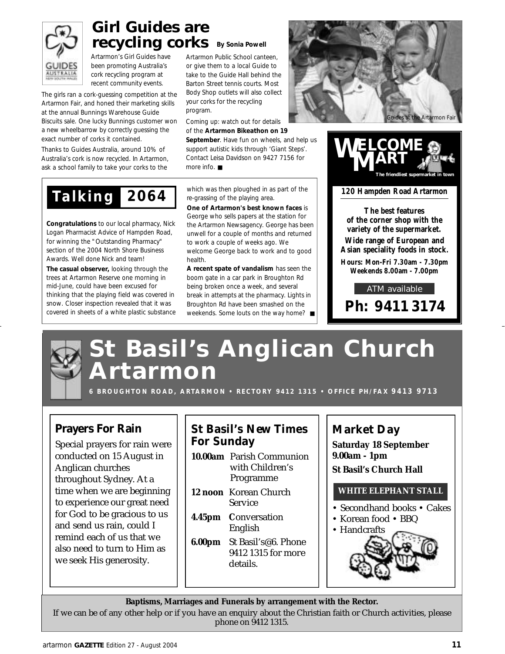

### **Girl Guides are recycling corks By Sonia Powell**

Artarmon's Girl Guides have been promoting Australia's cork recycling program at recent community events.

The girls ran a cork-guessing competition at the Artarmon Fair, and honed their marketing skills at the annual Bunnings Warehouse Guide Biscuits sale. One lucky Bunnings customer won a new wheelbarrow by correctly guessing the exact number of corks it contained.

Thanks to Guides Australia, around 10% of Australia's cork is now recycled. In Artarmon, ask a school family to take your corks to the

*T a l k i n g 2 0 6 4*

**Congratulations** to our local pharmacy, Nick Logan Pharmacist Advice of Hampden Road, for winning the "Outstanding Pharmacy" section of the 2004 North Shore Business Awards. Well done Nick and team! **The casual observer,** looking through the trees at Artarmon Reserve one morning in mid-June, could have been excused for thinking that the playing field was covered in snow. Closer inspection revealed that it was covered in sheets of a white plastic substance

Artarmon Public School canteen, or give them to a local Guide to take to the Guide Hall behind the Barton Street tennis courts. Most Body Shop outlets will also collect your corks for the recycling program.

Coming up: watch out for details of the **Artarmon Bikeathon on 19**

**September**. Have fun on wheels, and help us support autistic kids through 'Giant Steps'. Contact Leisa Davidson on 9427 7156 for more info. ■

which was then ploughed in as part of the re-grassing of the playing area.

**One of Artarmon's best known faces** is George who sells papers at the station for the Artarmon Newsagency. George has been unwell for a couple of months and returned to work a couple of weeks ago. We welcome George back to work and to good health.

**A recent spate of vandalism** has seen the boom gate in a car park in Broughton Rd being broken once a week, and several break in attempts at the pharmacy. Lights in Broughton Rd have been smashed on the weekends. Some louts on the way home? ■







## **St Basil's Anglican Church A r t a r m o n**

**6 B R O U G H T O N R O A D , A RTA R M O N • R E C T O R Y 9 4 1 2 1 3 1 5 • O F F I C E P H / FA X 9 4 1 3 9 7 1 3**

### **Prayers For Rain**

Special prayers for rain were conducted on 15 August in Anglican churches throughout Sydney. At a time when we are beginning to experience our great need for God to be gracious to us and send us rain, could I remind each of us that we also need to turn to Him as we seek His generosity.

### **St Basil's New Times For Sunday**

- **10.00am** Parish Communion with Children's Programme
- **12 noon** Korean Church Service
- **4.45pm C**onversation English
- **6.00pm** St Basil's@6. Phone 9412 1315 for more details.

### **Market Day**

**Saturday 18 September 9.00am - 1pm**

**St Basil's Church Hall**

#### **WHITE ELEPHANT STALL**

- Secondhand books Cakes
- Korean food BBQ

• Handcrafts

**Baptisms, Marriages and Funerals by arrangement with the Rector.**

If we can be of any other help or if you have an enquiry about the Christian faith or Church activities, please phone on 9412 1315.